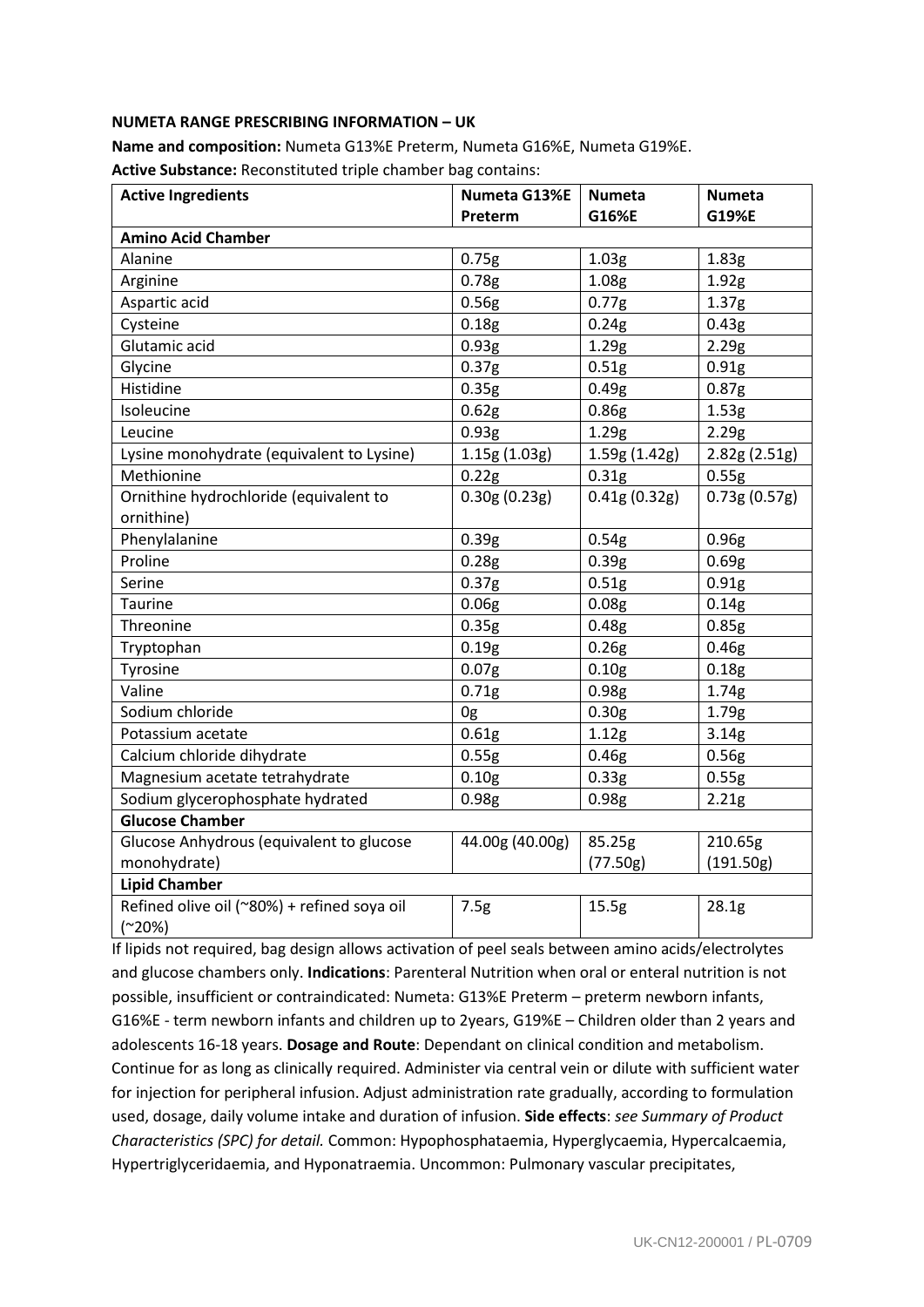## **NUMETA RANGE PRESCRIBING INFORMATION – UK**

**Name and composition:** Numeta G13%E Preterm, Numeta G16%E, Numeta G19%E. **Active Substance:** Reconstituted triple chamber bag contains:

| <b>Active Ingredients</b>                   | Numeta G13%E      | <b>Numeta</b>     | <b>Numeta</b>     |
|---------------------------------------------|-------------------|-------------------|-------------------|
|                                             | Preterm           | G16%E             | G19%E             |
| <b>Amino Acid Chamber</b>                   |                   |                   |                   |
| Alanine                                     | 0.75g             | 1.03 <sub>g</sub> | 1.83g             |
| Arginine                                    | 0.78g             | 1.08 <sub>g</sub> | 1.92g             |
| Aspartic acid                               | 0.56g             | 0.77g             | 1.37 <sub>g</sub> |
| Cysteine                                    | 0.18 <sub>g</sub> | 0.24g             | 0.43g             |
| Glutamic acid                               | 0.93g             | 1.29g             | 2.29g             |
| Glycine                                     | 0.37 <sub>g</sub> | 0.51g             | 0.91g             |
| Histidine                                   | 0.35g             | 0.49 <sub>g</sub> | 0.87 <sub>g</sub> |
| Isoleucine                                  | 0.62g             | 0.86g             | 1.53g             |
| Leucine                                     | 0.93g             | 1.29g             | 2.29g             |
| Lysine monohydrate (equivalent to Lysine)   | 1.15g(1.03g)      | 1.59g (1.42g)     | 2.82g(2.51g)      |
| Methionine                                  | 0.22g             | 0.31 <sub>g</sub> | 0.55g             |
| Ornithine hydrochloride (equivalent to      | 0.30g(0.23g)      | 0.41g(0.32g)      | 0.73g(0.57g)      |
| ornithine)                                  |                   |                   |                   |
| Phenylalanine                               | 0.39g             | 0.54g             | 0.96g             |
| Proline                                     | 0.28g             | 0.39g             | 0.69g             |
| Serine                                      | 0.37 <sub>g</sub> | 0.51g             | 0.91g             |
| <b>Taurine</b>                              | 0.06g             | 0.08 <sub>g</sub> | 0.14g             |
| Threonine                                   | 0.35g             | 0.48g             | 0.85g             |
| Tryptophan                                  | 0.19g             | 0.26g             | 0.46g             |
| Tyrosine                                    | 0.07 <sub>g</sub> | 0.10 <sub>g</sub> | 0.18g             |
| Valine                                      | 0.71 <sub>g</sub> | 0.98 <sub>g</sub> | 1.74g             |
| Sodium chloride                             | 0g                | 0.30 <sub>g</sub> | 1.79g             |
| Potassium acetate                           | 0.61g             | 1.12g             | 3.14g             |
| Calcium chloride dihydrate                  | 0.55g             | 0.46 <sub>g</sub> | 0.56g             |
| Magnesium acetate tetrahydrate              | 0.10 <sub>g</sub> | 0.33g             | 0.55g             |
| Sodium glycerophosphate hydrated            | 0.98g             | 0.98g             | 2.21g             |
| <b>Glucose Chamber</b>                      |                   |                   |                   |
| Glucose Anhydrous (equivalent to glucose    | 44.00g (40.00g)   | 85.25g            | 210.65g           |
| monohydrate)                                |                   | (77.50g)          | (191.50g)         |
| <b>Lipid Chamber</b>                        |                   |                   |                   |
| Refined olive oil (~80%) + refined soya oil | 7.5g              | 15.5g             | 28.1g             |
| $(^{20\%})$                                 |                   |                   |                   |

If lipids not required, bag design allows activation of peel seals between amino acids/electrolytes and glucose chambers only. **Indications**: Parenteral Nutrition when oral or enteral nutrition is not possible, insufficient or contraindicated: Numeta: G13%E Preterm – preterm newborn infants, G16%E - term newborn infants and children up to 2years, G19%E – Children older than 2 years and adolescents 16-18 years. **Dosage and Route**: Dependant on clinical condition and metabolism. Continue for as long as clinically required. Administer via central vein or dilute with sufficient water for injection for peripheral infusion. Adjust administration rate gradually, according to formulation used, dosage, daily volume intake and duration of infusion. **Side effects**: *see Summary of Product Characteristics (SPC) for detail.* Common: Hypophosphataemia, Hyperglycaemia, Hypercalcaemia, Hypertriglyceridaemia, and Hyponatraemia. Uncommon: Pulmonary vascular precipitates,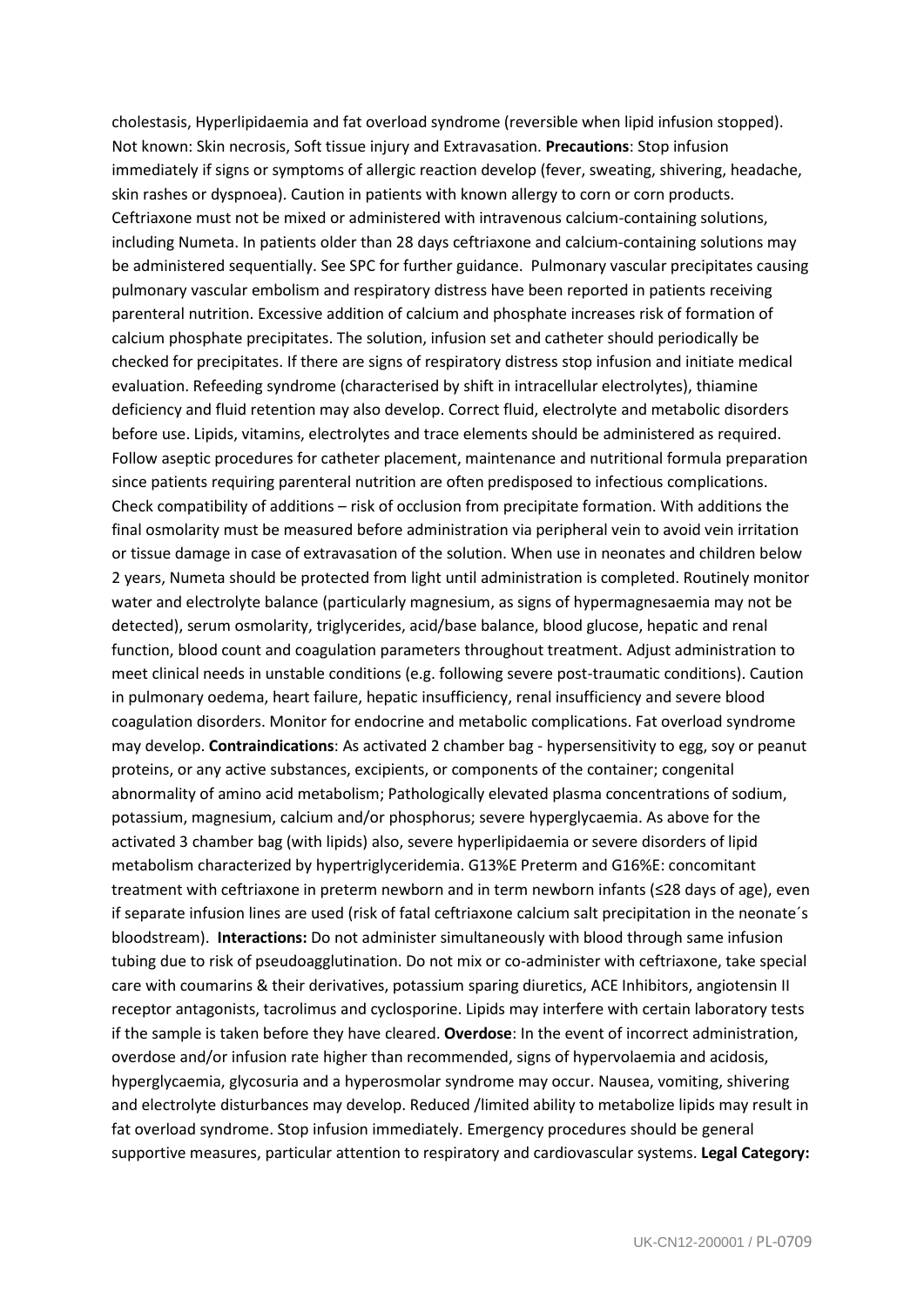cholestasis, Hyperlipidaemia and fat overload syndrome (reversible when lipid infusion stopped). Not known: Skin necrosis, Soft tissue injury and Extravasation. **Precautions**: Stop infusion immediately if signs or symptoms of allergic reaction develop (fever, sweating, shivering, headache, skin rashes or dyspnoea). Caution in patients with known allergy to corn or corn products. Ceftriaxone must not be mixed or administered with intravenous calcium-containing solutions, including Numeta. In patients older than 28 days ceftriaxone and calcium-containing solutions may be administered sequentially. See SPC for further guidance. Pulmonary vascular precipitates causing pulmonary vascular embolism and respiratory distress have been reported in patients receiving parenteral nutrition. Excessive addition of calcium and phosphate increases risk of formation of calcium phosphate precipitates. The solution, infusion set and catheter should periodically be checked for precipitates. If there are signs of respiratory distress stop infusion and initiate medical evaluation. Refeeding syndrome (characterised by shift in intracellular electrolytes), thiamine deficiency and fluid retention may also develop. Correct fluid, electrolyte and metabolic disorders before use. Lipids, vitamins, electrolytes and trace elements should be administered as required. Follow aseptic procedures for catheter placement, maintenance and nutritional formula preparation since patients requiring parenteral nutrition are often predisposed to infectious complications. Check compatibility of additions – risk of occlusion from precipitate formation. With additions the final osmolarity must be measured before administration via peripheral vein to avoid vein irritation or tissue damage in case of extravasation of the solution. When use in neonates and children below 2 years, Numeta should be protected from light until administration is completed. Routinely monitor water and electrolyte balance (particularly magnesium, as signs of hypermagnesaemia may not be detected), serum osmolarity, triglycerides, acid/base balance, blood glucose, hepatic and renal function, blood count and coagulation parameters throughout treatment. Adjust administration to meet clinical needs in unstable conditions (e.g. following severe post-traumatic conditions). Caution in pulmonary oedema, heart failure, hepatic insufficiency, renal insufficiency and severe blood coagulation disorders. Monitor for endocrine and metabolic complications. Fat overload syndrome may develop. **Contraindications**: As activated 2 chamber bag - hypersensitivity to egg, soy or peanut proteins, or any active substances, excipients, or components of the container; congenital abnormality of amino acid metabolism; Pathologically elevated plasma concentrations of sodium, potassium, magnesium, calcium and/or phosphorus; severe hyperglycaemia. As above for the activated 3 chamber bag (with lipids) also, severe hyperlipidaemia or severe disorders of lipid metabolism characterized by hypertriglyceridemia. G13%E Preterm and G16%E: concomitant treatment with ceftriaxone in preterm newborn and in term newborn infants (≤28 days of age), even if separate infusion lines are used (risk of fatal ceftriaxone calcium salt precipitation in the neonate´s bloodstream). **Interactions:** Do not administer simultaneously with blood through same infusion tubing due to risk of pseudoagglutination. Do not mix or co-administer with ceftriaxone, take special care with coumarins & their derivatives, potassium sparing diuretics, ACE Inhibitors, angiotensin II receptor antagonists, tacrolimus and cyclosporine. Lipids may interfere with certain laboratory tests if the sample is taken before they have cleared. **Overdose**: In the event of incorrect administration, overdose and/or infusion rate higher than recommended, signs of hypervolaemia and acidosis, hyperglycaemia, glycosuria and a hyperosmolar syndrome may occur. Nausea, vomiting, shivering and electrolyte disturbances may develop. Reduced /limited ability to metabolize lipids may result in fat overload syndrome. Stop infusion immediately. Emergency procedures should be general supportive measures, particular attention to respiratory and cardiovascular systems. **Legal Category:**